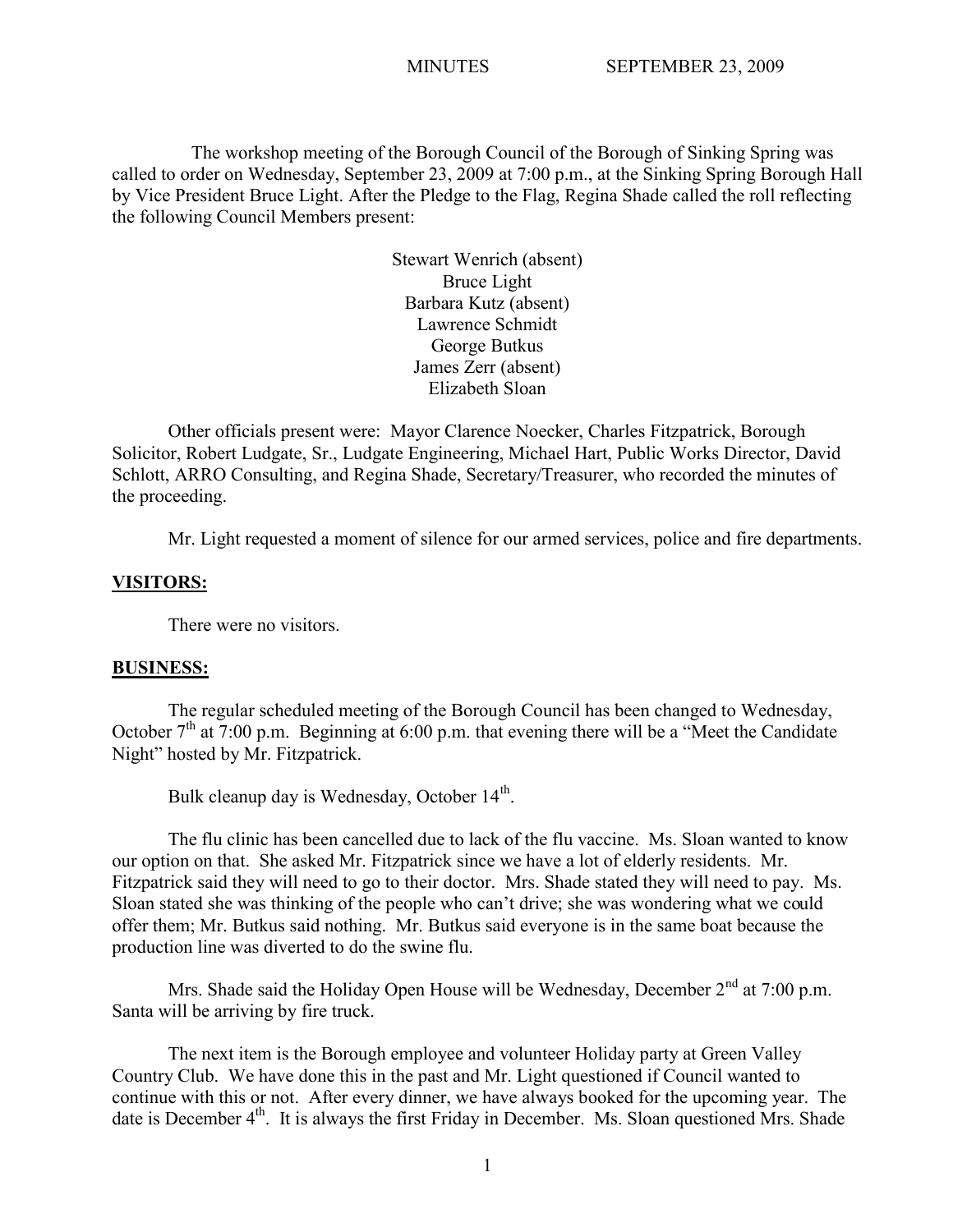The workshop meeting of the Borough Council of the Borough of Sinking Spring was called to order on Wednesday, September 23, 2009 at 7:00 p.m., at the Sinking Spring Borough Hall by Vice President Bruce Light. After the Pledge to the Flag, Regina Shade called the roll reflecting the following Council Members present:

> Stewart Wenrich (absent) Bruce Light Barbara Kutz (absent) Lawrence Schmidt George Butkus James Zerr (absent) Elizabeth Sloan

Other officials present were: Mayor Clarence Noecker, Charles Fitzpatrick, Borough Solicitor, Robert Ludgate, Sr., Ludgate Engineering, Michael Hart, Public Works Director, David Schlott, ARRO Consulting, and Regina Shade, Secretary/Treasurer, who recorded the minutes of the proceeding.

Mr. Light requested a moment of silence for our armed services, police and fire departments.

## **VISITORS:**

There were no visitors.

#### **BUSINESS:**

The regular scheduled meeting of the Borough Council has been changed to Wednesday, October  $7<sup>th</sup>$  at  $7:00$  p.m. Beginning at 6:00 p.m. that evening there will be a "Meet the Candidate" Night" hosted by Mr. Fitzpatrick.

Bulk cleanup day is Wednesday, October 14<sup>th</sup>.

The flu clinic has been cancelled due to lack of the flu vaccine. Ms. Sloan wanted to know our option on that. She asked Mr. Fitzpatrick since we have a lot of elderly residents. Mr. Fitzpatrick said they will need to go to their doctor. Mrs. Shade stated they will need to pay. Ms. Sloan stated she was thinking of the people who can't drive; she was wondering what we could offer them; Mr. Butkus said nothing. Mr. Butkus said everyone is in the same boat because the production line was diverted to do the swine flu.

Mrs. Shade said the Holiday Open House will be Wednesday, December  $2<sup>nd</sup>$  at 7:00 p.m. Santa will be arriving by fire truck.

The next item is the Borough employee and volunteer Holiday party at Green Valley Country Club. We have done this in the past and Mr. Light questioned if Council wanted to continue with this or not. After every dinner, we have always booked for the upcoming year. The date is December 4<sup>th</sup>. It is always the first Friday in December. Ms. Sloan questioned Mrs. Shade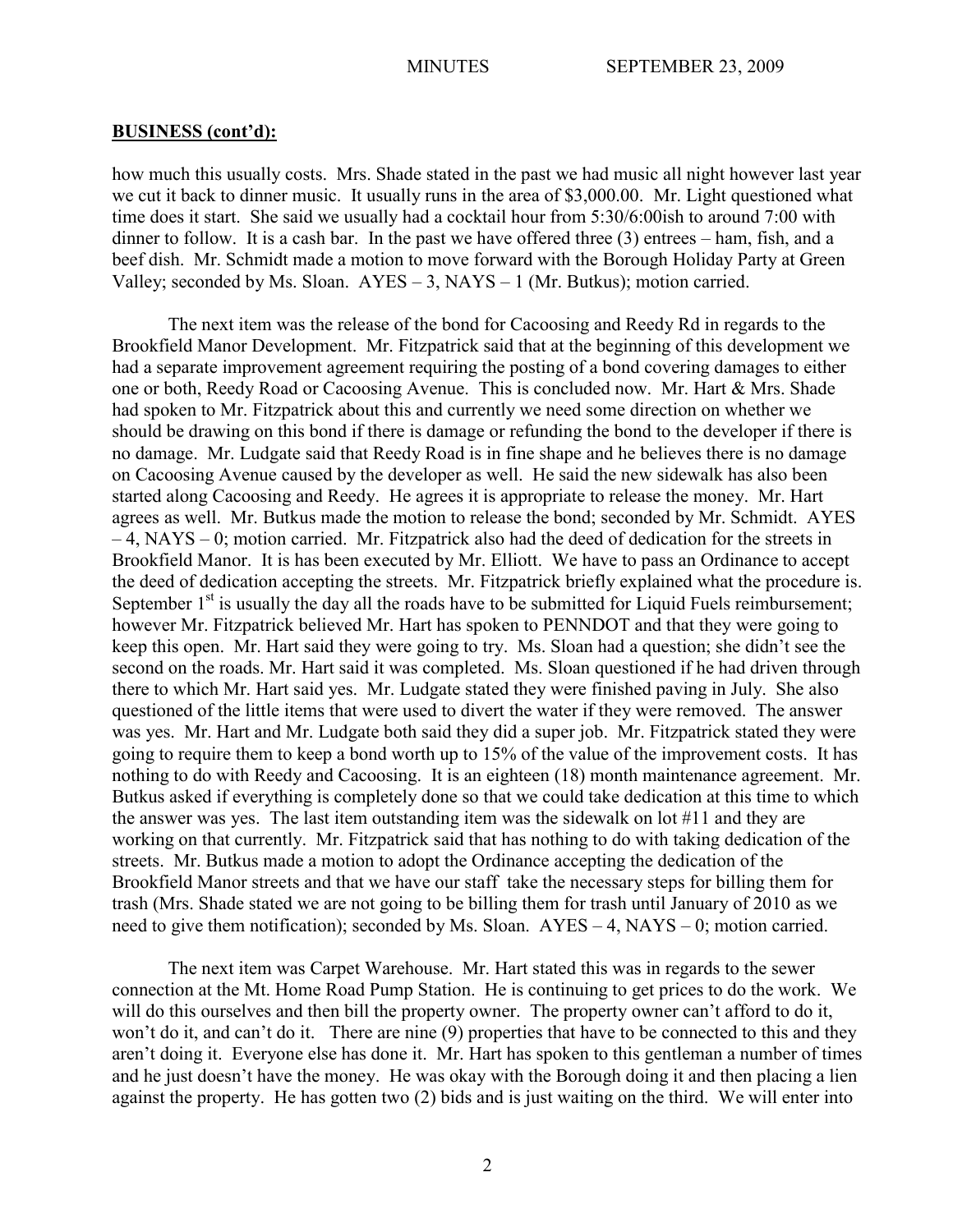how much this usually costs. Mrs. Shade stated in the past we had music all night however last year we cut it back to dinner music. It usually runs in the area of \$3,000.00. Mr. Light questioned what time does it start. She said we usually had a cocktail hour from 5:30/6:00ish to around 7:00 with dinner to follow. It is a cash bar. In the past we have offered three (3) entrees – ham, fish, and a beef dish. Mr. Schmidt made a motion to move forward with the Borough Holiday Party at Green Valley; seconded by Ms. Sloan. AYES – 3, NAYS – 1 (Mr. Butkus); motion carried.

The next item was the release of the bond for Cacoosing and Reedy Rd in regards to the Brookfield Manor Development. Mr. Fitzpatrick said that at the beginning of this development we had a separate improvement agreement requiring the posting of a bond covering damages to either one or both, Reedy Road or Cacoosing Avenue. This is concluded now. Mr. Hart & Mrs. Shade had spoken to Mr. Fitzpatrick about this and currently we need some direction on whether we should be drawing on this bond if there is damage or refunding the bond to the developer if there is no damage. Mr. Ludgate said that Reedy Road is in fine shape and he believes there is no damage on Cacoosing Avenue caused by the developer as well. He said the new sidewalk has also been started along Cacoosing and Reedy. He agrees it is appropriate to release the money. Mr. Hart agrees as well. Mr. Butkus made the motion to release the bond; seconded by Mr. Schmidt. AYES – 4, NAYS – 0; motion carried. Mr. Fitzpatrick also had the deed of dedication for the streets in Brookfield Manor. It is has been executed by Mr. Elliott. We have to pass an Ordinance to accept the deed of dedication accepting the streets. Mr. Fitzpatrick briefly explained what the procedure is. September  $1<sup>st</sup>$  is usually the day all the roads have to be submitted for Liquid Fuels reimbursement; however Mr. Fitzpatrick believed Mr. Hart has spoken to PENNDOT and that they were going to keep this open. Mr. Hart said they were going to try. Ms. Sloan had a question; she didn't see the second on the roads. Mr. Hart said it was completed. Ms. Sloan questioned if he had driven through there to which Mr. Hart said yes. Mr. Ludgate stated they were finished paving in July. She also questioned of the little items that were used to divert the water if they were removed. The answer was yes. Mr. Hart and Mr. Ludgate both said they did a super job. Mr. Fitzpatrick stated they were going to require them to keep a bond worth up to 15% of the value of the improvement costs. It has nothing to do with Reedy and Cacoosing. It is an eighteen (18) month maintenance agreement. Mr. Butkus asked if everything is completely done so that we could take dedication at this time to which the answer was yes. The last item outstanding item was the sidewalk on lot #11 and they are working on that currently. Mr. Fitzpatrick said that has nothing to do with taking dedication of the streets. Mr. Butkus made a motion to adopt the Ordinance accepting the dedication of the Brookfield Manor streets and that we have our staff take the necessary steps for billing them for trash (Mrs. Shade stated we are not going to be billing them for trash until January of 2010 as we need to give them notification); seconded by Ms. Sloan. AYES – 4, NAYS – 0; motion carried.

The next item was Carpet Warehouse. Mr. Hart stated this was in regards to the sewer connection at the Mt. Home Road Pump Station. He is continuing to get prices to do the work. We will do this ourselves and then bill the property owner. The property owner can't afford to do it, won't do it, and can't do it. There are nine (9) properties that have to be connected to this and they aren't doing it. Everyone else has done it. Mr. Hart has spoken to this gentleman a number of times and he just doesn't have the money. He was okay with the Borough doing it and then placing a lien against the property. He has gotten two (2) bids and is just waiting on the third. We will enter into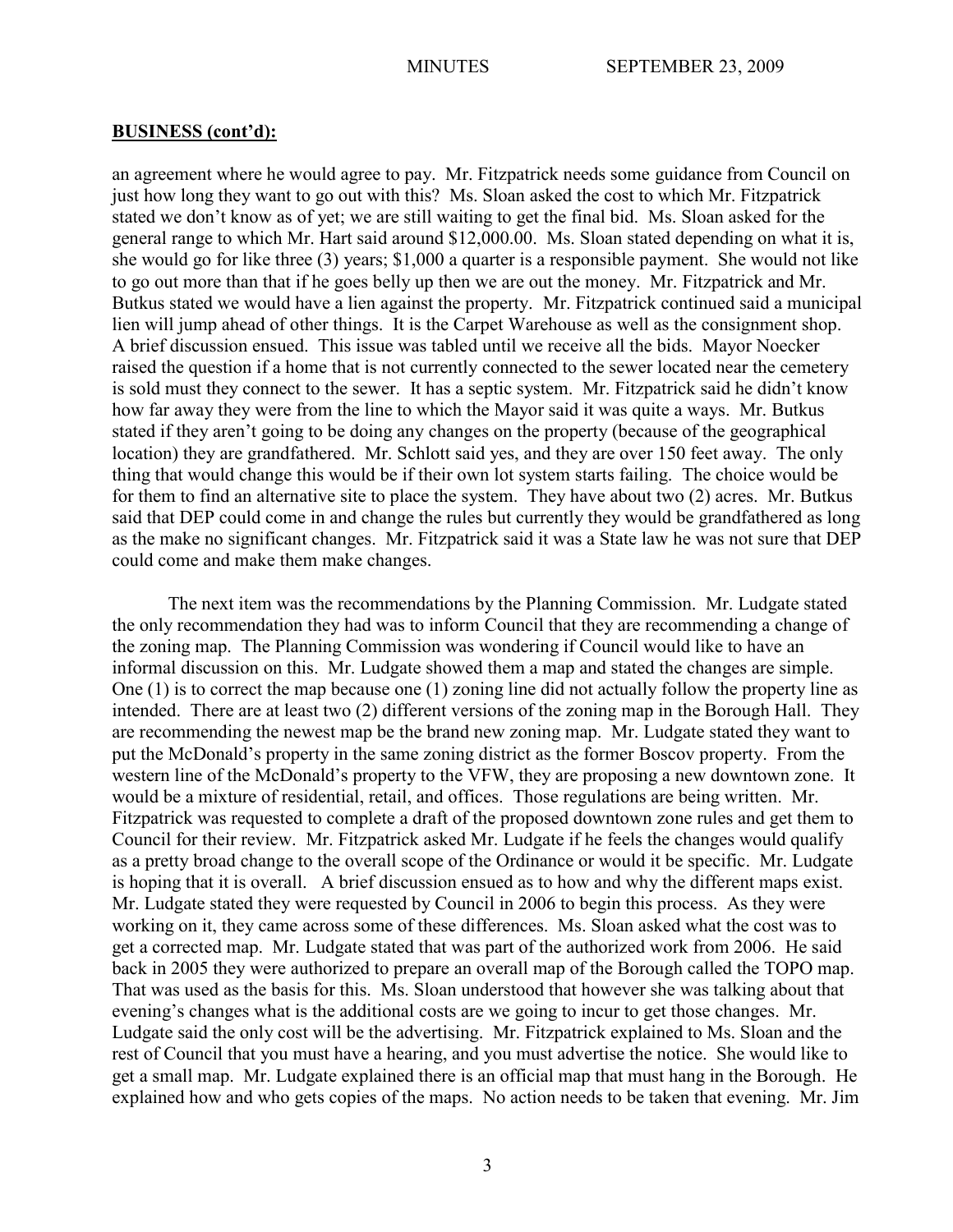an agreement where he would agree to pay. Mr. Fitzpatrick needs some guidance from Council on just how long they want to go out with this? Ms. Sloan asked the cost to which Mr. Fitzpatrick stated we don't know as of yet; we are still waiting to get the final bid. Ms. Sloan asked for the general range to which Mr. Hart said around \$12,000.00. Ms. Sloan stated depending on what it is, she would go for like three (3) years; \$1,000 a quarter is a responsible payment. She would not like to go out more than that if he goes belly up then we are out the money. Mr. Fitzpatrick and Mr. Butkus stated we would have a lien against the property. Mr. Fitzpatrick continued said a municipal lien will jump ahead of other things. It is the Carpet Warehouse as well as the consignment shop. A brief discussion ensued. This issue was tabled until we receive all the bids. Mayor Noecker raised the question if a home that is not currently connected to the sewer located near the cemetery is sold must they connect to the sewer. It has a septic system. Mr. Fitzpatrick said he didn't know how far away they were from the line to which the Mayor said it was quite a ways. Mr. Butkus stated if they aren't going to be doing any changes on the property (because of the geographical location) they are grandfathered. Mr. Schlott said yes, and they are over 150 feet away. The only thing that would change this would be if their own lot system starts failing. The choice would be for them to find an alternative site to place the system. They have about two (2) acres. Mr. Butkus said that DEP could come in and change the rules but currently they would be grandfathered as long as the make no significant changes. Mr. Fitzpatrick said it was a State law he was not sure that DEP could come and make them make changes.

The next item was the recommendations by the Planning Commission. Mr. Ludgate stated the only recommendation they had was to inform Council that they are recommending a change of the zoning map. The Planning Commission was wondering if Council would like to have an informal discussion on this. Mr. Ludgate showed them a map and stated the changes are simple. One (1) is to correct the map because one (1) zoning line did not actually follow the property line as intended. There are at least two (2) different versions of the zoning map in the Borough Hall. They are recommending the newest map be the brand new zoning map. Mr. Ludgate stated they want to put the McDonald's property in the same zoning district as the former Boscov property. From the western line of the McDonald's property to the VFW, they are proposing a new downtown zone. It would be a mixture of residential, retail, and offices. Those regulations are being written. Mr. Fitzpatrick was requested to complete a draft of the proposed downtown zone rules and get them to Council for their review. Mr. Fitzpatrick asked Mr. Ludgate if he feels the changes would qualify as a pretty broad change to the overall scope of the Ordinance or would it be specific. Mr. Ludgate is hoping that it is overall. A brief discussion ensued as to how and why the different maps exist. Mr. Ludgate stated they were requested by Council in 2006 to begin this process. As they were working on it, they came across some of these differences. Ms. Sloan asked what the cost was to get a corrected map. Mr. Ludgate stated that was part of the authorized work from 2006. He said back in 2005 they were authorized to prepare an overall map of the Borough called the TOPO map. That was used as the basis for this. Ms. Sloan understood that however she was talking about that evening's changes what is the additional costs are we going to incur to get those changes. Mr. Ludgate said the only cost will be the advertising. Mr. Fitzpatrick explained to Ms. Sloan and the rest of Council that you must have a hearing, and you must advertise the notice. She would like to get a small map. Mr. Ludgate explained there is an official map that must hang in the Borough. He explained how and who gets copies of the maps. No action needs to be taken that evening. Mr. Jim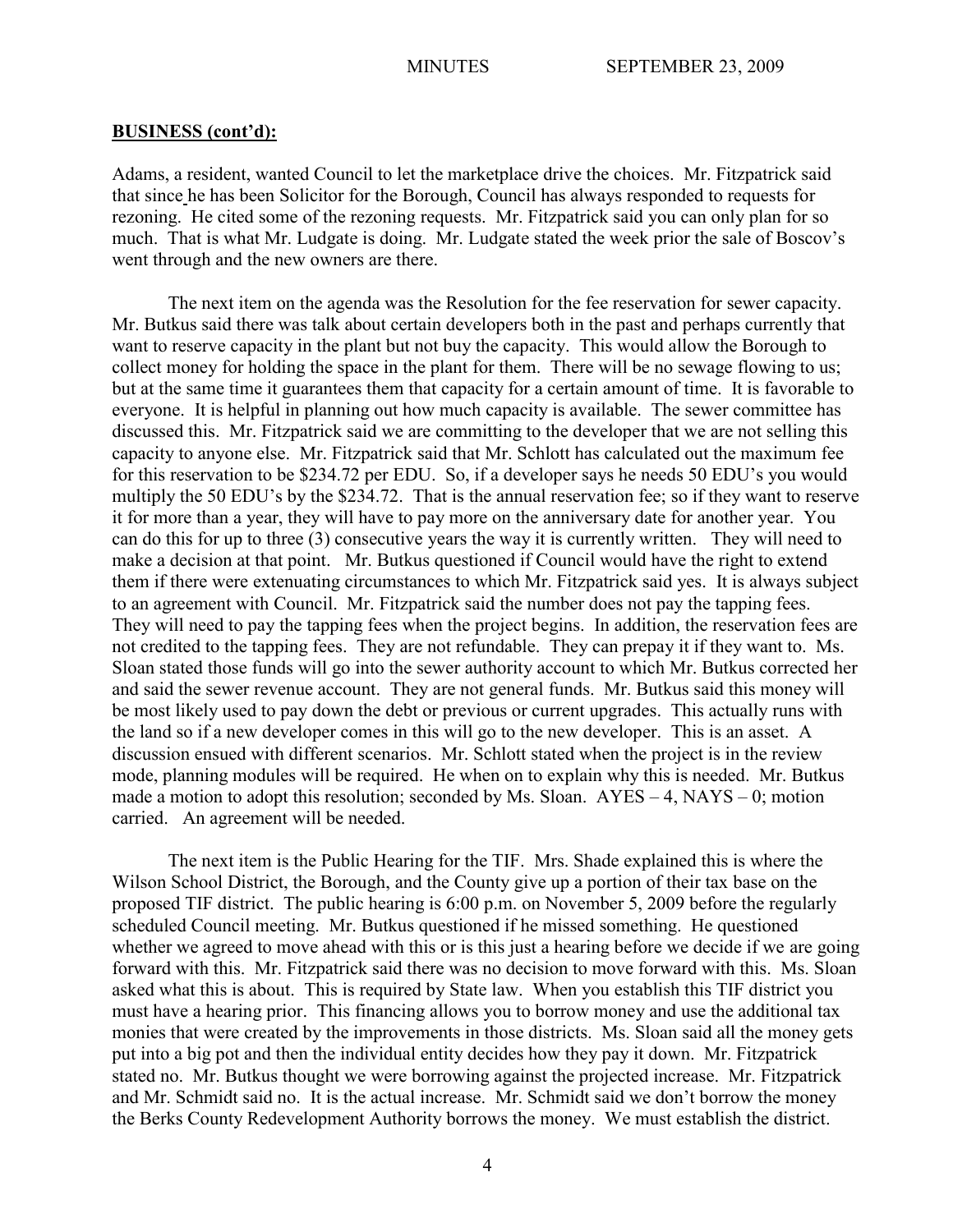Adams, a resident, wanted Council to let the marketplace drive the choices. Mr. Fitzpatrick said that since he has been Solicitor for the Borough, Council has always responded to requests for rezoning. He cited some of the rezoning requests. Mr. Fitzpatrick said you can only plan for so much. That is what Mr. Ludgate is doing. Mr. Ludgate stated the week prior the sale of Boscov's went through and the new owners are there.

The next item on the agenda was the Resolution for the fee reservation for sewer capacity. Mr. Butkus said there was talk about certain developers both in the past and perhaps currently that want to reserve capacity in the plant but not buy the capacity. This would allow the Borough to collect money for holding the space in the plant for them. There will be no sewage flowing to us; but at the same time it guarantees them that capacity for a certain amount of time. It is favorable to everyone. It is helpful in planning out how much capacity is available. The sewer committee has discussed this. Mr. Fitzpatrick said we are committing to the developer that we are not selling this capacity to anyone else. Mr. Fitzpatrick said that Mr. Schlott has calculated out the maximum fee for this reservation to be \$234.72 per EDU. So, if a developer says he needs 50 EDU's you would multiply the 50 EDU's by the \$234.72. That is the annual reservation fee; so if they want to reserve it for more than a year, they will have to pay more on the anniversary date for another year. You can do this for up to three (3) consecutive years the way it is currently written. They will need to make a decision at that point. Mr. Butkus questioned if Council would have the right to extend them if there were extenuating circumstances to which Mr. Fitzpatrick said yes. It is always subject to an agreement with Council. Mr. Fitzpatrick said the number does not pay the tapping fees. They will need to pay the tapping fees when the project begins. In addition, the reservation fees are not credited to the tapping fees. They are not refundable. They can prepay it if they want to. Ms. Sloan stated those funds will go into the sewer authority account to which Mr. Butkus corrected her and said the sewer revenue account. They are not general funds. Mr. Butkus said this money will be most likely used to pay down the debt or previous or current upgrades. This actually runs with the land so if a new developer comes in this will go to the new developer. This is an asset. A discussion ensued with different scenarios. Mr. Schlott stated when the project is in the review mode, planning modules will be required. He when on to explain why this is needed. Mr. Butkus made a motion to adopt this resolution; seconded by Ms. Sloan.  $AYES - 4$ ,  $NAYS - 0$ ; motion carried. An agreement will be needed.

The next item is the Public Hearing for the TIF. Mrs. Shade explained this is where the Wilson School District, the Borough, and the County give up a portion of their tax base on the proposed TIF district. The public hearing is 6:00 p.m. on November 5, 2009 before the regularly scheduled Council meeting. Mr. Butkus questioned if he missed something. He questioned whether we agreed to move ahead with this or is this just a hearing before we decide if we are going forward with this. Mr. Fitzpatrick said there was no decision to move forward with this. Ms. Sloan asked what this is about. This is required by State law. When you establish this TIF district you must have a hearing prior. This financing allows you to borrow money and use the additional tax monies that were created by the improvements in those districts. Ms. Sloan said all the money gets put into a big pot and then the individual entity decides how they pay it down. Mr. Fitzpatrick stated no. Mr. Butkus thought we were borrowing against the projected increase. Mr. Fitzpatrick and Mr. Schmidt said no. It is the actual increase. Mr. Schmidt said we don't borrow the money the Berks County Redevelopment Authority borrows the money. We must establish the district.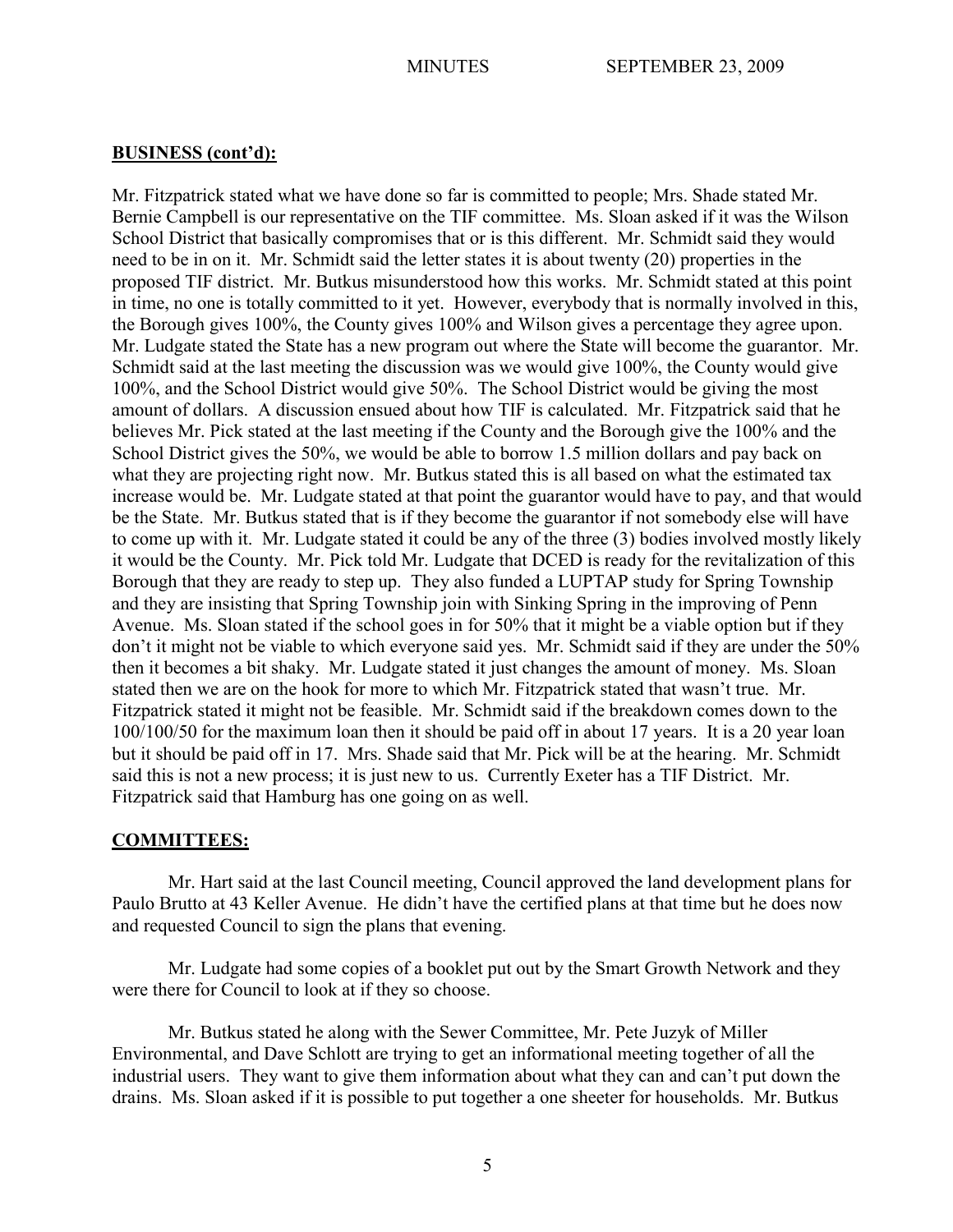Mr. Fitzpatrick stated what we have done so far is committed to people; Mrs. Shade stated Mr. Bernie Campbell is our representative on the TIF committee. Ms. Sloan asked if it was the Wilson School District that basically compromises that or is this different. Mr. Schmidt said they would need to be in on it. Mr. Schmidt said the letter states it is about twenty (20) properties in the proposed TIF district. Mr. Butkus misunderstood how this works. Mr. Schmidt stated at this point in time, no one is totally committed to it yet. However, everybody that is normally involved in this, the Borough gives 100%, the County gives 100% and Wilson gives a percentage they agree upon. Mr. Ludgate stated the State has a new program out where the State will become the guarantor. Mr. Schmidt said at the last meeting the discussion was we would give 100%, the County would give 100%, and the School District would give 50%. The School District would be giving the most amount of dollars. A discussion ensued about how TIF is calculated. Mr. Fitzpatrick said that he believes Mr. Pick stated at the last meeting if the County and the Borough give the 100% and the School District gives the 50%, we would be able to borrow 1.5 million dollars and pay back on what they are projecting right now. Mr. Butkus stated this is all based on what the estimated tax increase would be. Mr. Ludgate stated at that point the guarantor would have to pay, and that would be the State. Mr. Butkus stated that is if they become the guarantor if not somebody else will have to come up with it. Mr. Ludgate stated it could be any of the three (3) bodies involved mostly likely it would be the County. Mr. Pick told Mr. Ludgate that DCED is ready for the revitalization of this Borough that they are ready to step up. They also funded a LUPTAP study for Spring Township and they are insisting that Spring Township join with Sinking Spring in the improving of Penn Avenue. Ms. Sloan stated if the school goes in for 50% that it might be a viable option but if they don't it might not be viable to which everyone said yes. Mr. Schmidt said if they are under the 50% then it becomes a bit shaky. Mr. Ludgate stated it just changes the amount of money. Ms. Sloan stated then we are on the hook for more to which Mr. Fitzpatrick stated that wasn't true. Mr. Fitzpatrick stated it might not be feasible. Mr. Schmidt said if the breakdown comes down to the 100/100/50 for the maximum loan then it should be paid off in about 17 years. It is a 20 year loan but it should be paid off in 17. Mrs. Shade said that Mr. Pick will be at the hearing. Mr. Schmidt said this is not a new process; it is just new to us. Currently Exeter has a TIF District. Mr. Fitzpatrick said that Hamburg has one going on as well.

# **COMMITTEES:**

Mr. Hart said at the last Council meeting, Council approved the land development plans for Paulo Brutto at 43 Keller Avenue. He didn't have the certified plans at that time but he does now and requested Council to sign the plans that evening.

Mr. Ludgate had some copies of a booklet put out by the Smart Growth Network and they were there for Council to look at if they so choose.

Mr. Butkus stated he along with the Sewer Committee, Mr. Pete Juzyk of Miller Environmental, and Dave Schlott are trying to get an informational meeting together of all the industrial users. They want to give them information about what they can and can't put down the drains. Ms. Sloan asked if it is possible to put together a one sheeter for households. Mr. Butkus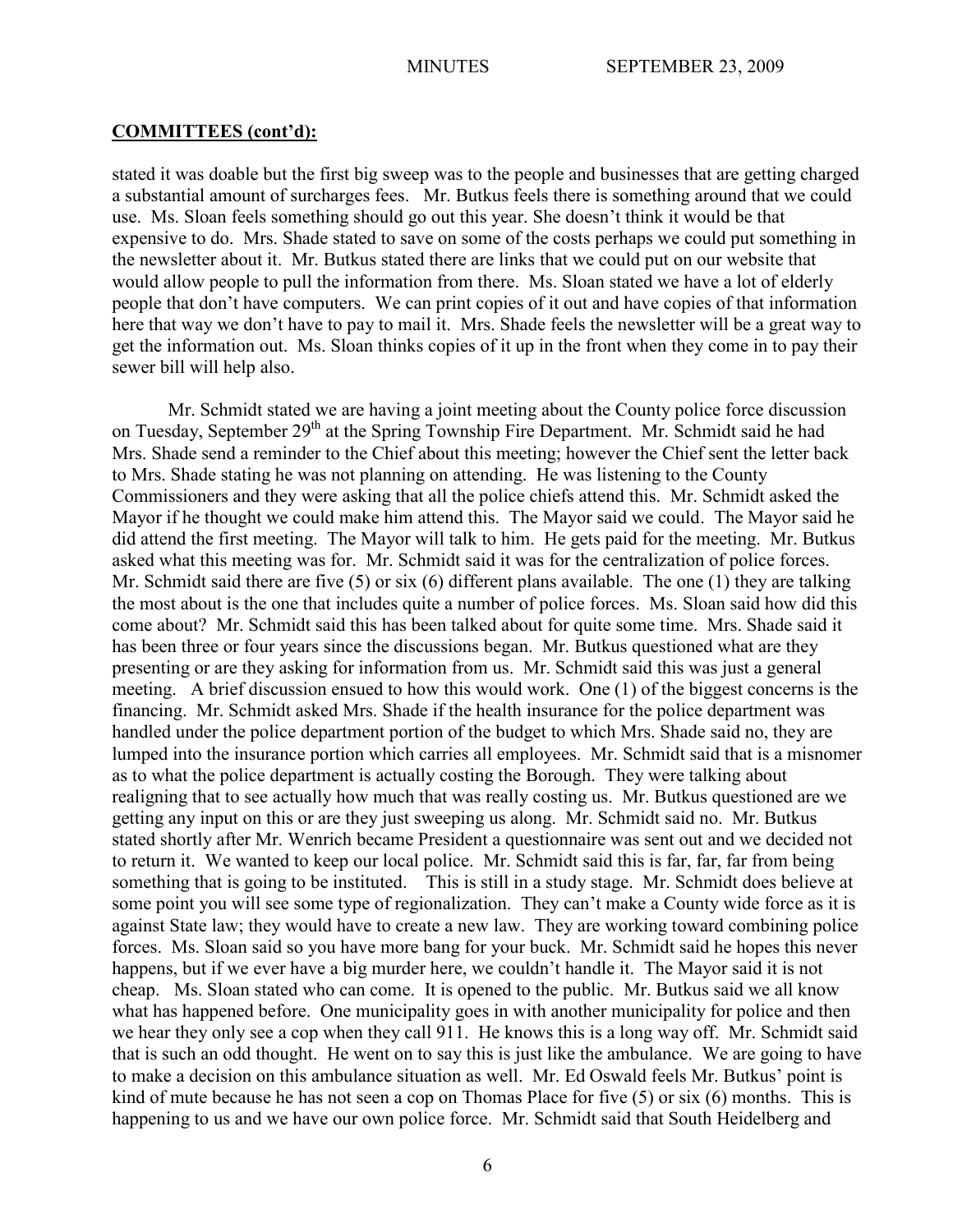#### **COMMITTEES (cont'd):**

stated it was doable but the first big sweep was to the people and businesses that are getting charged a substantial amount of surcharges fees. Mr. Butkus feels there is something around that we could use. Ms. Sloan feels something should go out this year. She doesn't think it would be that expensive to do. Mrs. Shade stated to save on some of the costs perhaps we could put something in the newsletter about it. Mr. Butkus stated there are links that we could put on our website that would allow people to pull the information from there. Ms. Sloan stated we have a lot of elderly people that don't have computers. We can print copies of it out and have copies of that information here that way we don't have to pay to mail it. Mrs. Shade feels the newsletter will be a great way to get the information out. Ms. Sloan thinks copies of it up in the front when they come in to pay their sewer bill will help also.

Mr. Schmidt stated we are having a joint meeting about the County police force discussion on Tuesday, September 29<sup>th</sup> at the Spring Township Fire Department. Mr. Schmidt said he had Mrs. Shade send a reminder to the Chief about this meeting; however the Chief sent the letter back to Mrs. Shade stating he was not planning on attending. He was listening to the County Commissioners and they were asking that all the police chiefs attend this. Mr. Schmidt asked the Mayor if he thought we could make him attend this. The Mayor said we could. The Mayor said he did attend the first meeting. The Mayor will talk to him. He gets paid for the meeting. Mr. Butkus asked what this meeting was for. Mr. Schmidt said it was for the centralization of police forces. Mr. Schmidt said there are five (5) or six (6) different plans available. The one (1) they are talking the most about is the one that includes quite a number of police forces. Ms. Sloan said how did this come about? Mr. Schmidt said this has been talked about for quite some time. Mrs. Shade said it has been three or four years since the discussions began. Mr. Butkus questioned what are they presenting or are they asking for information from us. Mr. Schmidt said this was just a general meeting. A brief discussion ensued to how this would work. One (1) of the biggest concerns is the financing. Mr. Schmidt asked Mrs. Shade if the health insurance for the police department was handled under the police department portion of the budget to which Mrs. Shade said no, they are lumped into the insurance portion which carries all employees. Mr. Schmidt said that is a misnomer as to what the police department is actually costing the Borough. They were talking about realigning that to see actually how much that was really costing us. Mr. Butkus questioned are we getting any input on this or are they just sweeping us along. Mr. Schmidt said no. Mr. Butkus stated shortly after Mr. Wenrich became President a questionnaire was sent out and we decided not to return it. We wanted to keep our local police. Mr. Schmidt said this is far, far, far from being something that is going to be instituted. This is still in a study stage. Mr. Schmidt does believe at some point you will see some type of regionalization. They can't make a County wide force as it is against State law; they would have to create a new law. They are working toward combining police forces. Ms. Sloan said so you have more bang for your buck. Mr. Schmidt said he hopes this never happens, but if we ever have a big murder here, we couldn't handle it. The Mayor said it is not cheap. Ms. Sloan stated who can come. It is opened to the public. Mr. Butkus said we all know what has happened before. One municipality goes in with another municipality for police and then we hear they only see a cop when they call 911. He knows this is a long way off. Mr. Schmidt said that is such an odd thought. He went on to say this is just like the ambulance. We are going to have to make a decision on this ambulance situation as well. Mr. Ed Oswald feels Mr. Butkus' point is kind of mute because he has not seen a cop on Thomas Place for five (5) or six (6) months. This is happening to us and we have our own police force. Mr. Schmidt said that South Heidelberg and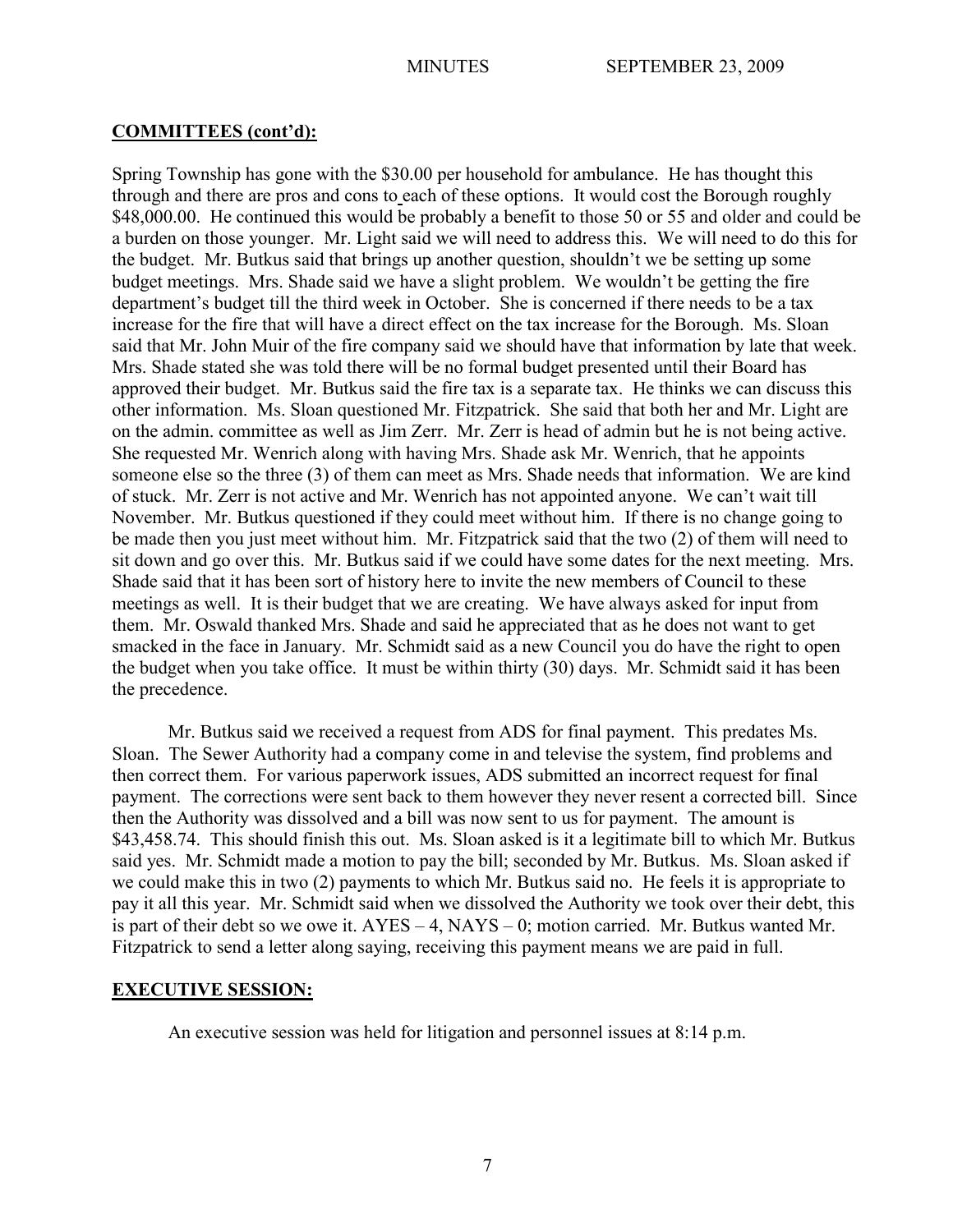## **COMMITTEES (cont'd):**

Spring Township has gone with the \$30.00 per household for ambulance. He has thought this through and there are pros and cons to each of these options. It would cost the Borough roughly \$48,000.00. He continued this would be probably a benefit to those 50 or 55 and older and could be a burden on those younger. Mr. Light said we will need to address this. We will need to do this for the budget. Mr. Butkus said that brings up another question, shouldn't we be setting up some budget meetings. Mrs. Shade said we have a slight problem. We wouldn't be getting the fire department's budget till the third week in October. She is concerned if there needs to be a tax increase for the fire that will have a direct effect on the tax increase for the Borough. Ms. Sloan said that Mr. John Muir of the fire company said we should have that information by late that week. Mrs. Shade stated she was told there will be no formal budget presented until their Board has approved their budget. Mr. Butkus said the fire tax is a separate tax. He thinks we can discuss this other information. Ms. Sloan questioned Mr. Fitzpatrick. She said that both her and Mr. Light are on the admin. committee as well as Jim Zerr. Mr. Zerr is head of admin but he is not being active. She requested Mr. Wenrich along with having Mrs. Shade ask Mr. Wenrich, that he appoints someone else so the three (3) of them can meet as Mrs. Shade needs that information. We are kind of stuck. Mr. Zerr is not active and Mr. Wenrich has not appointed anyone. We can't wait till November. Mr. Butkus questioned if they could meet without him. If there is no change going to be made then you just meet without him. Mr. Fitzpatrick said that the two (2) of them will need to sit down and go over this. Mr. Butkus said if we could have some dates for the next meeting. Mrs. Shade said that it has been sort of history here to invite the new members of Council to these meetings as well. It is their budget that we are creating. We have always asked for input from them. Mr. Oswald thanked Mrs. Shade and said he appreciated that as he does not want to get smacked in the face in January. Mr. Schmidt said as a new Council you do have the right to open the budget when you take office. It must be within thirty (30) days. Mr. Schmidt said it has been the precedence.

Mr. Butkus said we received a request from ADS for final payment. This predates Ms. Sloan. The Sewer Authority had a company come in and televise the system, find problems and then correct them. For various paperwork issues, ADS submitted an incorrect request for final payment. The corrections were sent back to them however they never resent a corrected bill. Since then the Authority was dissolved and a bill was now sent to us for payment. The amount is \$43,458.74. This should finish this out. Ms. Sloan asked is it a legitimate bill to which Mr. Butkus said yes. Mr. Schmidt made a motion to pay the bill; seconded by Mr. Butkus. Ms. Sloan asked if we could make this in two (2) payments to which Mr. Butkus said no. He feels it is appropriate to pay it all this year. Mr. Schmidt said when we dissolved the Authority we took over their debt, this is part of their debt so we owe it. AYES – 4, NAYS – 0; motion carried. Mr. Butkus wanted Mr. Fitzpatrick to send a letter along saying, receiving this payment means we are paid in full.

# **EXECUTIVE SESSION:**

An executive session was held for litigation and personnel issues at 8:14 p.m.